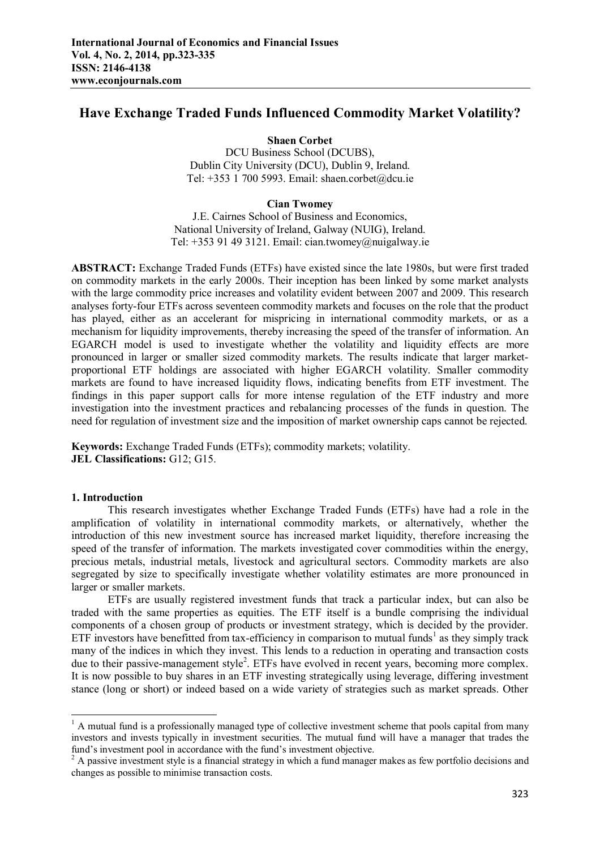# **Have Exchange Traded Funds Influenced Commodity Market Volatility?**

### **Shaen Corbet**

DCU Business School (DCUBS), Dublin City University (DCU), Dublin 9, Ireland. Tel: +353 1 700 5993. Email: shaen.corbet@dcu.ie

## **Cian Twomey**

J.E. Cairnes School of Business and Economics, National University of Ireland, Galway (NUIG), Ireland. Tel:  $+353$  91 49 3121. Email: cian.twomey@nuigalway.ie

**ABSTRACT:** Exchange Traded Funds (ETFs) have existed since the late 1980s, but were first traded on commodity markets in the early 2000s. Their inception has been linked by some market analysts with the large commodity price increases and volatility evident between 2007 and 2009. This research analyses forty-four ETFs across seventeen commodity markets and focuses on the role that the product has played, either as an accelerant for mispricing in international commodity markets, or as a mechanism for liquidity improvements, thereby increasing the speed of the transfer of information. An EGARCH model is used to investigate whether the volatility and liquidity effects are more pronounced in larger or smaller sized commodity markets. The results indicate that larger marketproportional ETF holdings are associated with higher EGARCH volatility. Smaller commodity markets are found to have increased liquidity flows, indicating benefits from ETF investment. The findings in this paper support calls for more intense regulation of the ETF industry and more investigation into the investment practices and rebalancing processes of the funds in question. The need for regulation of investment size and the imposition of market ownership caps cannot be rejected.

**Keywords:** Exchange Traded Funds (ETFs); commodity markets; volatility. **JEL Classifications:** G12; G15.

#### **1. Introduction**

1

This research investigates whether Exchange Traded Funds (ETFs) have had a role in the amplification of volatility in international commodity markets, or alternatively, whether the introduction of this new investment source has increased market liquidity, therefore increasing the speed of the transfer of information. The markets investigated cover commodities within the energy, precious metals, industrial metals, livestock and agricultural sectors. Commodity markets are also segregated by size to specifically investigate whether volatility estimates are more pronounced in larger or smaller markets.

ETFs are usually registered investment funds that track a particular index, but can also be traded with the same properties as equities. The ETF itself is a bundle comprising the individual components of a chosen group of products or investment strategy, which is decided by the provider. ETF investors have benefitted from tax-efficiency in comparison to mutual funds<sup>1</sup> as they simply track many of the indices in which they invest. This lends to a reduction in operating and transaction costs due to their passive-management style<sup>2</sup>. ETFs have evolved in recent years, becoming more complex. It is now possible to buy shares in an ETF investing strategically using leverage, differing investment stance (long or short) or indeed based on a wide variety of strategies such as market spreads. Other

 $<sup>1</sup>$  A mutual fund is a professionally managed type of collective investment scheme that pools capital from many</sup> investors and invests typically in investment securities. The mutual fund will have a manager that trades the fund's investment pool in accordance with the fund's investment objective.

<sup>&</sup>lt;sup>2</sup> A passive investment style is a financial strategy in which a fund manager makes as few portfolio decisions and changes as possible to minimise transaction costs.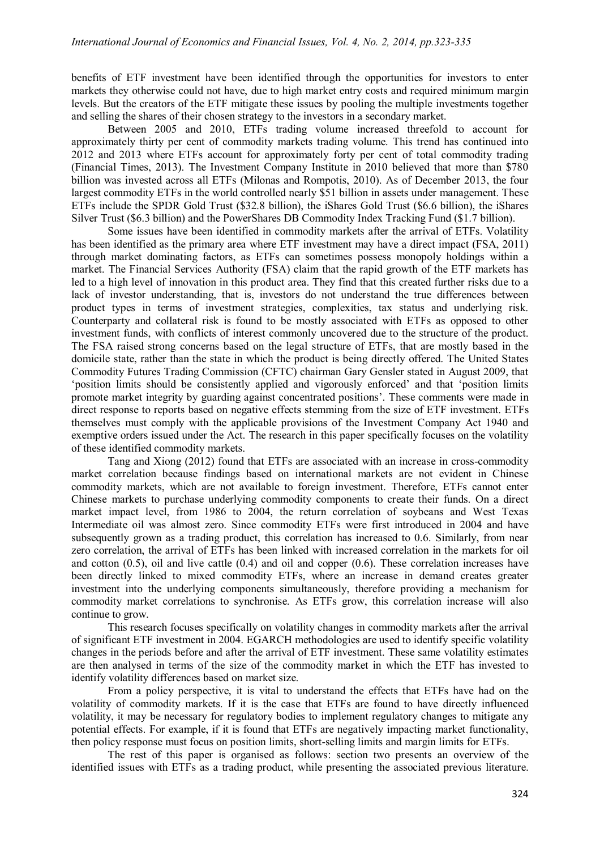benefits of ETF investment have been identified through the opportunities for investors to enter markets they otherwise could not have, due to high market entry costs and required minimum margin levels. But the creators of the ETF mitigate these issues by pooling the multiple investments together and selling the shares of their chosen strategy to the investors in a secondary market.

Between 2005 and 2010, ETFs trading volume increased threefold to account for approximately thirty per cent of commodity markets trading volume. This trend has continued into 2012 and 2013 where ETFs account for approximately forty per cent of total commodity trading (Financial Times, 2013). The Investment Company Institute in 2010 believed that more than \$780 billion was invested across all ETFs (Milonas and Rompotis, 2010). As of December 2013, the four largest commodity ETFs in the world controlled nearly \$51 billion in assets under management. These ETFs include the SPDR Gold Trust (\$32.8 billion), the iShares Gold Trust (\$6.6 billion), the iShares Silver Trust (\$6.3 billion) and the PowerShares DB Commodity Index Tracking Fund (\$1.7 billion).

Some issues have been identified in commodity markets after the arrival of ETFs. Volatility has been identified as the primary area where ETF investment may have a direct impact (FSA, 2011) through market dominating factors, as ETFs can sometimes possess monopoly holdings within a market. The Financial Services Authority (FSA) claim that the rapid growth of the ETF markets has led to a high level of innovation in this product area. They find that this created further risks due to a lack of investor understanding, that is, investors do not understand the true differences between product types in terms of investment strategies, complexities, tax status and underlying risk. Counterparty and collateral risk is found to be mostly associated with ETFs as opposed to other investment funds, with conflicts of interest commonly uncovered due to the structure of the product. The FSA raised strong concerns based on the legal structure of ETFs, that are mostly based in the domicile state, rather than the state in which the product is being directly offered. The United States Commodity Futures Trading Commission (CFTC) chairman Gary Gensler stated in August 2009, that 'position limits should be consistently applied and vigorously enforced' and that 'position limits promote market integrity by guarding against concentrated positions'. These comments were made in direct response to reports based on negative effects stemming from the size of ETF investment. ETFs themselves must comply with the applicable provisions of the Investment Company Act 1940 and exemptive orders issued under the Act. The research in this paper specifically focuses on the volatility of these identified commodity markets.

Tang and Xiong (2012) found that ETFs are associated with an increase in cross-commodity market correlation because findings based on international markets are not evident in Chinese commodity markets, which are not available to foreign investment. Therefore, ETFs cannot enter Chinese markets to purchase underlying commodity components to create their funds. On a direct market impact level, from 1986 to 2004, the return correlation of soybeans and West Texas Intermediate oil was almost zero. Since commodity ETFs were first introduced in 2004 and have subsequently grown as a trading product, this correlation has increased to 0.6. Similarly, from near zero correlation, the arrival of ETFs has been linked with increased correlation in the markets for oil and cotton  $(0.5)$ , oil and live cattle  $(0.4)$  and oil and copper  $(0.6)$ . These correlation increases have been directly linked to mixed commodity ETFs, where an increase in demand creates greater investment into the underlying components simultaneously, therefore providing a mechanism for commodity market correlations to synchronise. As ETFs grow, this correlation increase will also continue to grow.

This research focuses specifically on volatility changes in commodity markets after the arrival of significant ETF investment in 2004. EGARCH methodologies are used to identify specific volatility changes in the periods before and after the arrival of ETF investment. These same volatility estimates are then analysed in terms of the size of the commodity market in which the ETF has invested to identify volatility differences based on market size.

From a policy perspective, it is vital to understand the effects that ETFs have had on the volatility of commodity markets. If it is the case that ETFs are found to have directly influenced volatility, it may be necessary for regulatory bodies to implement regulatory changes to mitigate any potential effects. For example, if it is found that ETFs are negatively impacting market functionality, then policy response must focus on position limits, short-selling limits and margin limits for ETFs.

The rest of this paper is organised as follows: section two presents an overview of the identified issues with ETFs as a trading product, while presenting the associated previous literature.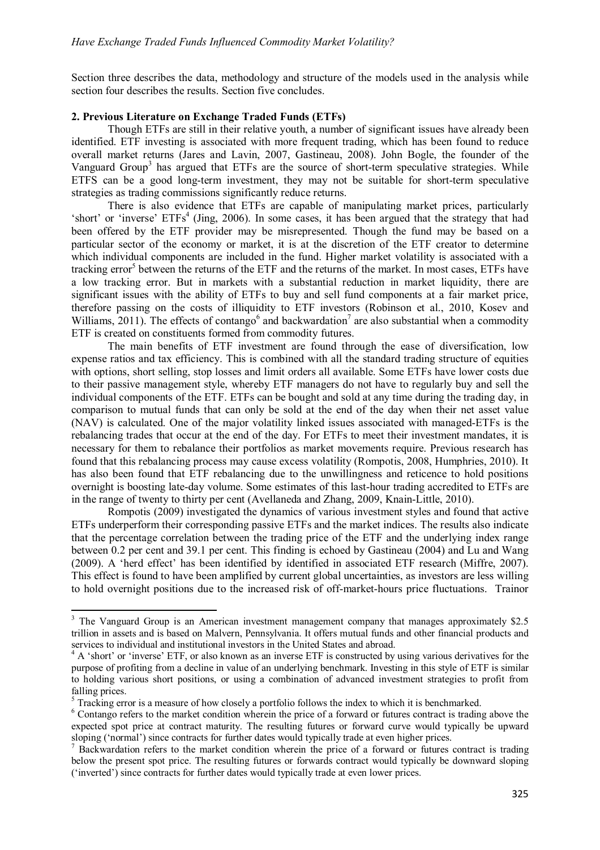Section three describes the data, methodology and structure of the models used in the analysis while section four describes the results. Section five concludes.

# **2. Previous Literature on Exchange Traded Funds (ETFs)**

Though ETFs are still in their relative youth, a number of significant issues have already been identified. ETF investing is associated with more frequent trading, which has been found to reduce overall market returns (Jares and Lavin, 2007, Gastineau, 2008). John Bogle, the founder of the Vanguard Group<sup>3</sup> has argued that ETFs are the source of short-term speculative strategies. While ETFS can be a good long-term investment, they may not be suitable for short-term speculative strategies as trading commissions significantly reduce returns.

There is also evidence that ETFs are capable of manipulating market prices, particularly 'short' or 'inverse' ETFs<sup>4</sup> (Jing, 2006). In some cases, it has been argued that the strategy that had been offered by the ETF provider may be misrepresented. Though the fund may be based on a particular sector of the economy or market, it is at the discretion of the ETF creator to determine which individual components are included in the fund. Higher market volatility is associated with a tracking error<sup>5</sup> between the returns of the ETF and the returns of the market. In most cases, ETFs have a low tracking error. But in markets with a substantial reduction in market liquidity, there are significant issues with the ability of ETFs to buy and sell fund components at a fair market price, therefore passing on the costs of illiquidity to ETF investors (Robinson et al., 2010, Kosev and Williams, 2011). The effects of contango<sup>6</sup> and backwardation<sup>7</sup> are also substantial when a commodity ETF is created on constituents formed from commodity futures.

The main benefits of ETF investment are found through the ease of diversification, low expense ratios and tax efficiency. This is combined with all the standard trading structure of equities with options, short selling, stop losses and limit orders all available. Some ETFs have lower costs due to their passive management style, whereby ETF managers do not have to regularly buy and sell the individual components of the ETF. ETFs can be bought and sold at any time during the trading day, in comparison to mutual funds that can only be sold at the end of the day when their net asset value (NAV) is calculated. One of the major volatility linked issues associated with managed-ETFs is the rebalancing trades that occur at the end of the day. For ETFs to meet their investment mandates, it is necessary for them to rebalance their portfolios as market movements require. Previous research has found that this rebalancing process may cause excess volatility (Rompotis, 2008, Humphries, 2010). It has also been found that ETF rebalancing due to the unwillingness and reticence to hold positions overnight is boosting late-day volume. Some estimates of this last-hour trading accredited to ETFs are in the range of twenty to thirty per cent (Avellaneda and Zhang, 2009, Knain-Little, 2010).

Rompotis (2009) investigated the dynamics of various investment styles and found that active ETFs underperform their corresponding passive ETFs and the market indices. The results also indicate that the percentage correlation between the trading price of the ETF and the underlying index range between 0.2 per cent and 39.1 per cent. This finding is echoed by Gastineau (2004) and Lu and Wang (2009). A 'herd effect' has been identified by identified in associated ETF research (Miffre, 2007). This effect is found to have been amplified by current global uncertainties, as investors are less willing to hold overnight positions due to the increased risk of off-market-hours price fluctuations. Trainor

 $\overline{a}$ 

<sup>&</sup>lt;sup>3</sup> The Vanguard Group is an American investment management company that manages approximately \$2.5 trillion in assets and is based on Malvern, Pennsylvania. It offers mutual funds and other financial products and services to individual and institutional investors in the United States and abroad.

<sup>&</sup>lt;sup>4</sup> A 'short' or 'inverse' ETF, or also known as an inverse ETF is constructed by using various derivatives for the purpose of profiting from a decline in value of an underlying benchmark. Investing in this style of ETF is similar to holding various short positions, or using a combination of advanced investment strategies to profit from falling prices.

<sup>&</sup>lt;sup>5</sup> Tracking error is a measure of how closely a portfolio follows the index to which it is benchmarked.

<sup>&</sup>lt;sup>6</sup> Contango refers to the market condition wherein the price of a forward or futures contract is trading above the expected spot price at contract maturity. The resulting futures or forward curve would typically be upward sloping ('normal') since contracts for further dates would typically trade at even higher prices.

 $<sup>7</sup>$  Backwardation refers to the market condition wherein the price of a forward or futures contract is trading</sup> below the present spot price. The resulting futures or forwards contract would typically be downward sloping ('inverted') since contracts for further dates would typically trade at even lower prices.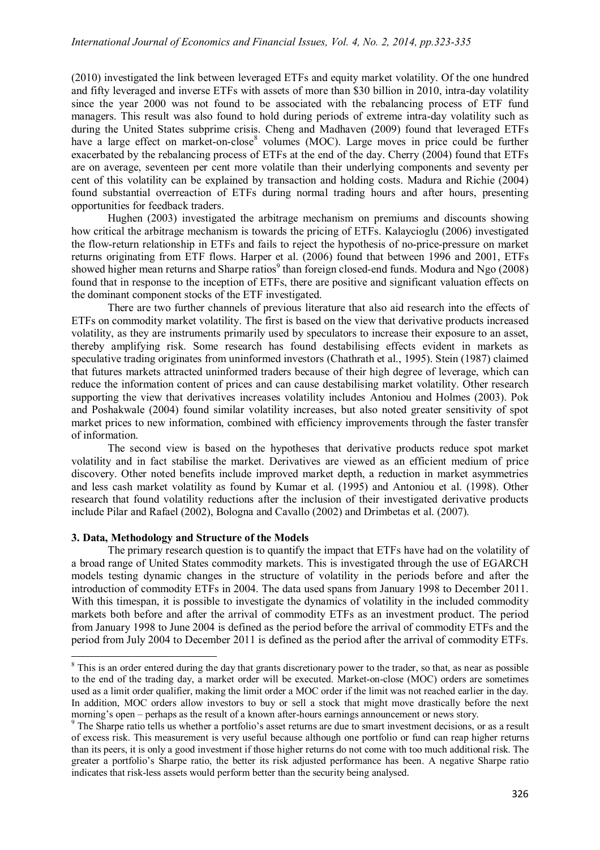(2010) investigated the link between leveraged ETFs and equity market volatility. Of the one hundred and fifty leveraged and inverse ETFs with assets of more than \$30 billion in 2010, intra-day volatility since the year 2000 was not found to be associated with the rebalancing process of ETF fund managers. This result was also found to hold during periods of extreme intra-day volatility such as during the United States subprime crisis. Cheng and Madhaven (2009) found that leveraged ETFs have a large effect on market-on-close<sup>8</sup> volumes (MOC). Large moves in price could be further exacerbated by the rebalancing process of ETFs at the end of the day. Cherry (2004) found that ETFs are on average, seventeen per cent more volatile than their underlying components and seventy per cent of this volatility can be explained by transaction and holding costs. Madura and Richie (2004) found substantial overreaction of ETFs during normal trading hours and after hours, presenting opportunities for feedback traders.

Hughen (2003) investigated the arbitrage mechanism on premiums and discounts showing how critical the arbitrage mechanism is towards the pricing of ETFs. Kalaycioglu (2006) investigated the flow-return relationship in ETFs and fails to reject the hypothesis of no-price-pressure on market returns originating from ETF flows. Harper et al. (2006) found that between 1996 and 2001, ETFs showed higher mean returns and Sharpe ratios<sup>9</sup> than foreign closed-end funds. Modura and Ngo (2008) found that in response to the inception of ETFs, there are positive and significant valuation effects on the dominant component stocks of the ETF investigated.

There are two further channels of previous literature that also aid research into the effects of ETFs on commodity market volatility. The first is based on the view that derivative products increased volatility, as they are instruments primarily used by speculators to increase their exposure to an asset, thereby amplifying risk. Some research has found destabilising effects evident in markets as speculative trading originates from uninformed investors (Chathrath et al., 1995). Stein (1987) claimed that futures markets attracted uninformed traders because of their high degree of leverage, which can reduce the information content of prices and can cause destabilising market volatility. Other research supporting the view that derivatives increases volatility includes Antoniou and Holmes (2003). Pok and Poshakwale (2004) found similar volatility increases, but also noted greater sensitivity of spot market prices to new information, combined with efficiency improvements through the faster transfer of information.

The second view is based on the hypotheses that derivative products reduce spot market volatility and in fact stabilise the market. Derivatives are viewed as an efficient medium of price discovery. Other noted benefits include improved market depth, a reduction in market asymmetries and less cash market volatility as found by Kumar et al. (1995) and Antoniou et al. (1998). Other research that found volatility reductions after the inclusion of their investigated derivative products include Pilar and Rafael (2002), Bologna and Cavallo (2002) and Drimbetas et al. (2007).

## **3. Data, Methodology and Structure of the Models**

 $\overline{a}$ 

The primary research question is to quantify the impact that ETFs have had on the volatility of a broad range of United States commodity markets. This is investigated through the use of EGARCH models testing dynamic changes in the structure of volatility in the periods before and after the introduction of commodity ETFs in 2004. The data used spans from January 1998 to December 2011. With this timespan, it is possible to investigate the dynamics of volatility in the included commodity markets both before and after the arrival of commodity ETFs as an investment product. The period from January 1998 to June 2004 is defined as the period before the arrival of commodity ETFs and the period from July 2004 to December 2011 is defined as the period after the arrival of commodity ETFs.

<sup>&</sup>lt;sup>8</sup> This is an order entered during the day that grants discretionary power to the trader, so that, as near as possible to the end of the trading day, a market order will be executed. Market-on-close (MOC) orders are sometimes used as a limit order qualifier, making the limit order a MOC order if the limit was not reached earlier in the day. In addition, MOC orders allow investors to buy or sell a stock that might move drastically before the next morning's open – perhaps as the result of a known after-hours earnings announcement or news story.

<sup>&</sup>lt;sup>9</sup> The Sharpe ratio tells us whether a portfolio's asset returns are due to smart investment decisions, or as a result of excess risk. This measurement is very useful because although one portfolio or fund can reap higher returns than its peers, it is only a good investment if those higher returns do not come with too much additional risk. The greater a portfolio's Sharpe ratio, the better its risk adjusted performance has been. A negative Sharpe ratio indicates that risk-less assets would perform better than the security being analysed.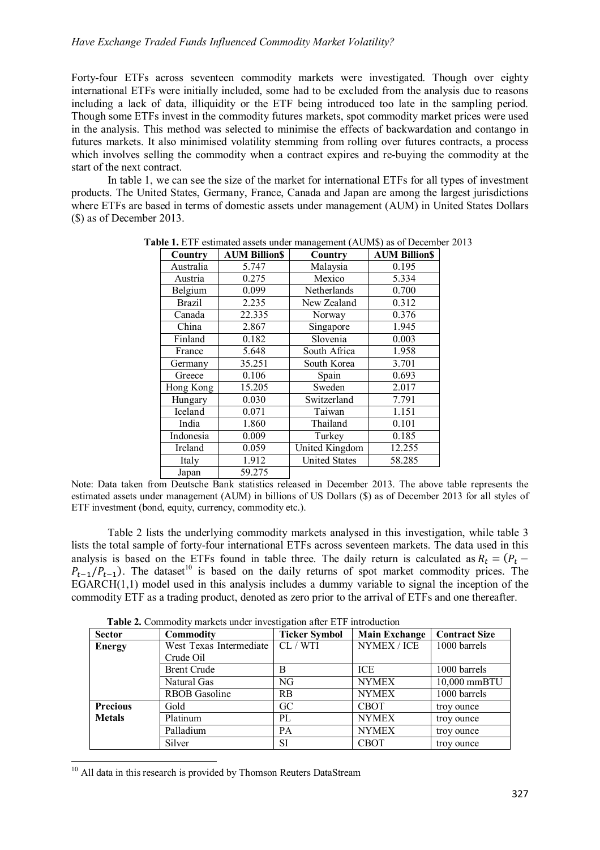Forty-four ETFs across seventeen commodity markets were investigated. Though over eighty international ETFs were initially included, some had to be excluded from the analysis due to reasons including a lack of data, illiquidity or the ETF being introduced too late in the sampling period. Though some ETFs invest in the commodity futures markets, spot commodity market prices were used in the analysis. This method was selected to minimise the effects of backwardation and contango in futures markets. It also minimised volatility stemming from rolling over futures contracts, a process which involves selling the commodity when a contract expires and re-buying the commodity at the start of the next contract.

In table 1, we can see the size of the market for international ETFs for all types of investment products. The United States, Germany, France, Canada and Japan are among the largest jurisdictions where ETFs are based in terms of domestic assets under management (AUM) in United States Dollars (\$) as of December 2013.

| Country       | <b>AUM Billion\$</b> | Country              | <b>AUM BillionS</b> |
|---------------|----------------------|----------------------|---------------------|
| Australia     | 5.747                | Malaysia             | 0.195               |
| Austria       | 0.275                | Mexico               | 5.334               |
| Belgium       | 0.099                | Netherlands          | 0.700               |
| <b>Brazil</b> | 2.235                | New Zealand          | 0.312               |
| Canada        | 22.335               | Norway               | 0.376               |
| China         | 2.867                | Singapore            | 1.945               |
| Finland       | 0.182                | Slovenia             | 0.003               |
| France        | 5.648                | South Africa         | 1.958               |
| Germany       | 35.251               | South Korea          | 3.701               |
| Greece        | 0.106                | Spain                | 0.693               |
| Hong Kong     | 15.205               | Sweden               | 2.017               |
| Hungary       | 0.030                | Switzerland          | 7.791               |
| Iceland       | 0.071                | Taiwan               | 1.151               |
| India         | 1.860                | Thailand             | 0.101               |
| Indonesia     | 0.009                | Turkey               | 0.185               |
| Ireland       | 0.059                | United Kingdom       | 12.255              |
| Italy         | 1.912                | <b>United States</b> | 58.285              |
| Japan         | 59.275               |                      |                     |

**Table 1.** ETF estimated assets under management (AUM\$) as of December 2013

Note: Data taken from Deutsche Bank statistics released in December 2013. The above table represents the estimated assets under management (AUM) in billions of US Dollars (\$) as of December 2013 for all styles of ETF investment (bond, equity, currency, commodity etc.).

Table 2 lists the underlying commodity markets analysed in this investigation, while table 3 lists the total sample of forty-four international ETFs across seventeen markets. The data used in this analysis is based on the ETFs found in table three. The daily return is calculated as  $R_t = (P_t P_{t-1}/P_{t-1}$ ). The dataset<sup>10</sup> is based on the daily returns of spot market commodity prices. The  $EGARCH(1,1)$  model used in this analysis includes a dummy variable to signal the inception of the commodity ETF as a trading product, denoted as zero prior to the arrival of ETFs and one thereafter.

| <b>Sector</b>   | Commodity               | <b>Ticker Symbol</b> | <b>Main Exchange</b> | <b>Contract Size</b> |
|-----------------|-------------------------|----------------------|----------------------|----------------------|
| <b>Energy</b>   | West Texas Intermediate | CL / WTI             | NYMEX / ICE          | 1000 barrels         |
|                 | Crude Oil               |                      |                      |                      |
|                 | <b>Brent Crude</b>      | B                    | <b>ICE</b>           | 1000 barrels         |
|                 | Natural Gas             | NG                   | <b>NYMEX</b>         | 10,000 mmBTU         |
|                 | <b>RBOB</b> Gasoline    | <b>RB</b>            | <b>NYMEX</b>         | 1000 barrels         |
| <b>Precious</b> | Gold                    | GC                   | <b>CBOT</b>          | troy ounce           |
| <b>Metals</b>   | Platinum                | PL                   | <b>NYMEX</b>         | troy ounce           |
|                 | Palladium               | <b>PA</b>            | <b>NYMEX</b>         | troy ounce           |
|                 | Silver                  | <b>SI</b>            | <b>CBOT</b>          | troy ounce           |

 **Table 2.** Commodity markets under investigation after ETF introduction

<sup>10</sup> All data in this research is provided by Thomson Reuters DataStream

1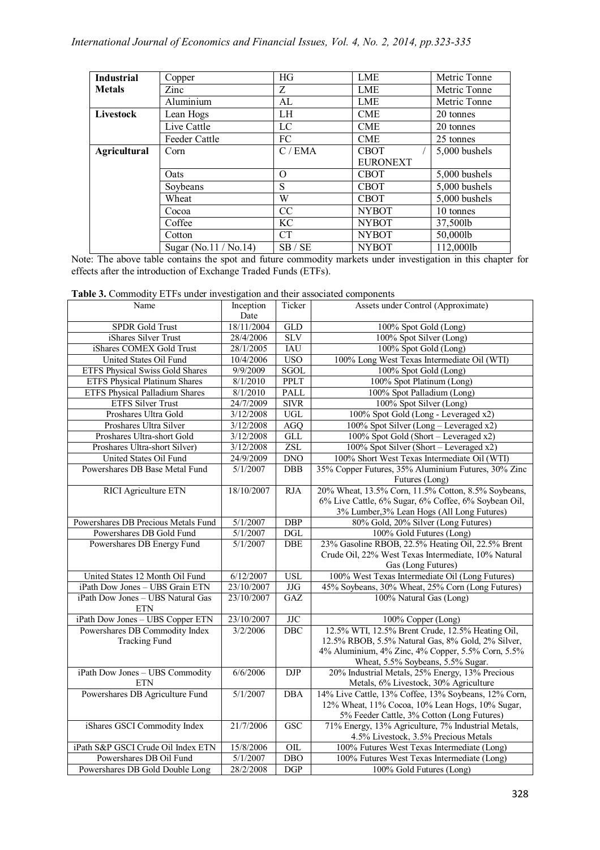| <b>Industrial</b>   | Copper                | HG        | LME             | Metric Tonne  |
|---------------------|-----------------------|-----------|-----------------|---------------|
| <b>Metals</b>       | Zinc                  | Z         | <b>LME</b>      | Metric Tonne  |
|                     | Aluminium             | AL        | <b>LME</b>      | Metric Tonne  |
| Livestock           | Lean Hogs             | LH        | <b>CME</b>      | 20 tonnes     |
|                     | Live Cattle           | LC        | <b>CME</b>      | 20 tonnes     |
|                     | Feeder Cattle         | FC        | <b>CME</b>      | 25 tonnes     |
| <b>Agricultural</b> | Corn                  | C/EMA     | <b>CBOT</b>     | 5,000 bushels |
|                     |                       |           | <b>EURONEXT</b> |               |
|                     | Oats                  | $\Omega$  | <b>CBOT</b>     | 5,000 bushels |
|                     | Soybeans              | S         | <b>CBOT</b>     | 5,000 bushels |
|                     | Wheat                 | W         | <b>CBOT</b>     | 5,000 bushels |
|                     | Cocoa                 | CC        | <b>NYBOT</b>    | 10 tonnes     |
|                     | Coffee                | KC        | <b>NYBOT</b>    | 37,500lb      |
|                     | Cotton                | <b>CT</b> | <b>NYBOT</b>    | 50,000lb      |
|                     | Sugar (No.11 / No.14) | SB / SE   | <b>NYBOT</b>    | 112,000lb     |

Note: The above table contains the spot and future commodity markets under investigation in this chapter for effects after the introduction of Exchange Traded Funds (ETFs).

| Table 3. Commodity ETFs under investigation and their associated components |  |  |  |  |
|-----------------------------------------------------------------------------|--|--|--|--|
|-----------------------------------------------------------------------------|--|--|--|--|

| Date<br>18/11/2004<br>SPDR Gold Trust<br><b>GLD</b><br>100% Spot Gold (Long)<br>iShares Silver Trust<br><b>SLV</b><br>28/4/2006<br>100% Spot Silver (Long)<br>iShares COMEX Gold Trust<br>28/1/2005<br><b>IAU</b><br>100% Spot Gold (Long)<br>United States Oil Fund<br>10/4/2006<br>USO <sub></sub><br>100% Long West Texas Intermediate Oil (WTI)<br><b>SGOL</b><br><b>ETFS Physical Swiss Gold Shares</b><br>9/9/2009<br>100% Spot Gold (Long)<br><b>PPLT</b><br><b>ETFS Physical Platinum Shares</b><br>8/1/2010<br>100% Spot Platinum (Long)<br>8/1/2010<br>PALL<br>ETFS Physical Palladium Shares<br>100% Spot Palladium (Long)<br>24/7/2009<br><b>SIVR</b><br><b>ETFS Silver Trust</b><br>100% Spot Silver (Long)<br><b>UGL</b><br>3/12/2008<br>100% Spot Gold (Long - Leveraged x2)<br>Proshares Ultra Gold<br>Proshares Ultra Silver<br>3/12/2008<br>100% Spot Silver (Long - Leveraged x2)<br><b>AGQ</b><br>Proshares Ultra-short Gold<br>3/12/2008<br>GLL<br>100% Spot Gold (Short - Leveraged x2)<br>Proshares Ultra-short Silver)<br>3/12/2008<br>ZSL<br>100% Spot Silver (Short - Leveraged x2)<br>United States Oil Fund<br>24/9/2009<br><b>DNO</b><br>100% Short West Texas Intermediate Oil (WTI)<br>Powershares DB Base Metal Fund<br>DBB<br>35% Copper Futures, 35% Aluminium Futures, 30% Zinc<br>5/1/2007<br>Futures (Long)<br>20% Wheat, 13.5% Corn, 11.5% Cotton, 8.5% Soybeans,<br><b>RICI</b> Agriculture ETN<br>18/10/2007<br><b>RJA</b><br>6% Live Cattle, 6% Sugar, 6% Coffee, 6% Soybean Oil,<br>3% Lumber, 3% Lean Hogs (All Long Futures)<br>Powershares DB Precious Metals Fund<br>80% Gold, 20% Silver (Long Futures)<br>5/1/2007<br><b>DBP</b><br>Powershares DB Gold Fund<br>5/1/2007<br>$\overline{DGL}$<br>100% Gold Futures (Long)<br>23% Gasoline RBOB, 22.5% Heating Oil, 22.5% Brent<br>Powershares DB Energy Fund<br>5/1/2007<br><b>DBE</b><br>Crude Oil, 22% West Texas Intermediate, 10% Natural<br>Gas (Long Futures)<br><b>USL</b><br>100% West Texas Intermediate Oil (Long Futures)<br>United States 12 Month Oil Fund<br>6/12/2007<br>iPath Dow Jones - UBS Grain ETN<br>23/10/2007<br>$\rm JJG$<br>45% Soybeans, 30% Wheat, 25% Corn (Long Futures)<br>iPath Dow Jones - UBS Natural Gas<br>23/10/2007<br>GAZ<br>100% Natural Gas (Long)<br><b>ETN</b><br>iPath Dow Jones - UBS Copper ETN<br>23/10/2007<br>$_{\mathrm{JJC}}$<br>100% Copper (Long)<br>Powershares DB Commodity Index<br>12.5% WTI, 12.5% Brent Crude, 12.5% Heating Oil,<br>3/2/2006<br>DBC<br>12.5% RBOB, 5.5% Natural Gas, 8% Gold, 2% Silver,<br><b>Tracking Fund</b><br>4% Aluminium, 4% Zinc, 4% Copper, 5.5% Corn, 5.5%<br>Wheat, 5.5% Soybeans, 5.5% Sugar.<br>iPath Dow Jones - UBS Commodity<br>6/6/2006<br><b>DJP</b><br>20% Industrial Metals, 25% Energy, 13% Precious<br><b>ETN</b><br>Metals, 6% Livestock, 30% Agriculture<br>Powershares DB Agriculture Fund<br>14% Live Cattle, 13% Coffee, 13% Soybeans, 12% Corn,<br>5/1/2007<br><b>DBA</b><br>12% Wheat, 11% Cocoa, 10% Lean Hogs, 10% Sugar,<br>5% Feeder Cattle, 3% Cotton (Long Futures)<br>iShares GSCI Commodity Index<br>71% Energy, 13% Agriculture, 7% Industrial Metals,<br>21/7/2006<br><b>GSC</b><br>4.5% Livestock, 3.5% Precious Metals<br>iPath S&P GSCI Crude Oil Index ETN<br>15/8/2006<br>$\overline{OL}$<br>100% Futures West Texas Intermediate (Long)<br>DBO<br>Powershares DB Oil Fund<br>5/1/2007<br>100% Futures West Texas Intermediate (Long) | Name                            | Inception | Ticker | Assets under Control (Approximate) |
|---------------------------------------------------------------------------------------------------------------------------------------------------------------------------------------------------------------------------------------------------------------------------------------------------------------------------------------------------------------------------------------------------------------------------------------------------------------------------------------------------------------------------------------------------------------------------------------------------------------------------------------------------------------------------------------------------------------------------------------------------------------------------------------------------------------------------------------------------------------------------------------------------------------------------------------------------------------------------------------------------------------------------------------------------------------------------------------------------------------------------------------------------------------------------------------------------------------------------------------------------------------------------------------------------------------------------------------------------------------------------------------------------------------------------------------------------------------------------------------------------------------------------------------------------------------------------------------------------------------------------------------------------------------------------------------------------------------------------------------------------------------------------------------------------------------------------------------------------------------------------------------------------------------------------------------------------------------------------------------------------------------------------------------------------------------------------------------------------------------------------------------------------------------------------------------------------------------------------------------------------------------------------------------------------------------------------------------------------------------------------------------------------------------------------------------------------------------------------------------------------------------------------------------------------------------------------------------------------------------------------------------------------------------------------------------------------------------------------------------------------------------------------------------------------------------------------------------------------------------------------------------------------------------------------------------------------------------------------------------------------------------------------------------------------------------------------------------------------------------------------------------------------------------------------------------------------------------------------------------------------------------------------------------------------------------------------------------------------------------------------------------------------------------------------------------------------------------|---------------------------------|-----------|--------|------------------------------------|
|                                                                                                                                                                                                                                                                                                                                                                                                                                                                                                                                                                                                                                                                                                                                                                                                                                                                                                                                                                                                                                                                                                                                                                                                                                                                                                                                                                                                                                                                                                                                                                                                                                                                                                                                                                                                                                                                                                                                                                                                                                                                                                                                                                                                                                                                                                                                                                                                                                                                                                                                                                                                                                                                                                                                                                                                                                                                                                                                                                                                                                                                                                                                                                                                                                                                                                                                                                                                                                                               |                                 |           |        |                                    |
|                                                                                                                                                                                                                                                                                                                                                                                                                                                                                                                                                                                                                                                                                                                                                                                                                                                                                                                                                                                                                                                                                                                                                                                                                                                                                                                                                                                                                                                                                                                                                                                                                                                                                                                                                                                                                                                                                                                                                                                                                                                                                                                                                                                                                                                                                                                                                                                                                                                                                                                                                                                                                                                                                                                                                                                                                                                                                                                                                                                                                                                                                                                                                                                                                                                                                                                                                                                                                                                               |                                 |           |        |                                    |
|                                                                                                                                                                                                                                                                                                                                                                                                                                                                                                                                                                                                                                                                                                                                                                                                                                                                                                                                                                                                                                                                                                                                                                                                                                                                                                                                                                                                                                                                                                                                                                                                                                                                                                                                                                                                                                                                                                                                                                                                                                                                                                                                                                                                                                                                                                                                                                                                                                                                                                                                                                                                                                                                                                                                                                                                                                                                                                                                                                                                                                                                                                                                                                                                                                                                                                                                                                                                                                                               |                                 |           |        |                                    |
|                                                                                                                                                                                                                                                                                                                                                                                                                                                                                                                                                                                                                                                                                                                                                                                                                                                                                                                                                                                                                                                                                                                                                                                                                                                                                                                                                                                                                                                                                                                                                                                                                                                                                                                                                                                                                                                                                                                                                                                                                                                                                                                                                                                                                                                                                                                                                                                                                                                                                                                                                                                                                                                                                                                                                                                                                                                                                                                                                                                                                                                                                                                                                                                                                                                                                                                                                                                                                                                               |                                 |           |        |                                    |
|                                                                                                                                                                                                                                                                                                                                                                                                                                                                                                                                                                                                                                                                                                                                                                                                                                                                                                                                                                                                                                                                                                                                                                                                                                                                                                                                                                                                                                                                                                                                                                                                                                                                                                                                                                                                                                                                                                                                                                                                                                                                                                                                                                                                                                                                                                                                                                                                                                                                                                                                                                                                                                                                                                                                                                                                                                                                                                                                                                                                                                                                                                                                                                                                                                                                                                                                                                                                                                                               |                                 |           |        |                                    |
|                                                                                                                                                                                                                                                                                                                                                                                                                                                                                                                                                                                                                                                                                                                                                                                                                                                                                                                                                                                                                                                                                                                                                                                                                                                                                                                                                                                                                                                                                                                                                                                                                                                                                                                                                                                                                                                                                                                                                                                                                                                                                                                                                                                                                                                                                                                                                                                                                                                                                                                                                                                                                                                                                                                                                                                                                                                                                                                                                                                                                                                                                                                                                                                                                                                                                                                                                                                                                                                               |                                 |           |        |                                    |
|                                                                                                                                                                                                                                                                                                                                                                                                                                                                                                                                                                                                                                                                                                                                                                                                                                                                                                                                                                                                                                                                                                                                                                                                                                                                                                                                                                                                                                                                                                                                                                                                                                                                                                                                                                                                                                                                                                                                                                                                                                                                                                                                                                                                                                                                                                                                                                                                                                                                                                                                                                                                                                                                                                                                                                                                                                                                                                                                                                                                                                                                                                                                                                                                                                                                                                                                                                                                                                                               |                                 |           |        |                                    |
|                                                                                                                                                                                                                                                                                                                                                                                                                                                                                                                                                                                                                                                                                                                                                                                                                                                                                                                                                                                                                                                                                                                                                                                                                                                                                                                                                                                                                                                                                                                                                                                                                                                                                                                                                                                                                                                                                                                                                                                                                                                                                                                                                                                                                                                                                                                                                                                                                                                                                                                                                                                                                                                                                                                                                                                                                                                                                                                                                                                                                                                                                                                                                                                                                                                                                                                                                                                                                                                               |                                 |           |        |                                    |
|                                                                                                                                                                                                                                                                                                                                                                                                                                                                                                                                                                                                                                                                                                                                                                                                                                                                                                                                                                                                                                                                                                                                                                                                                                                                                                                                                                                                                                                                                                                                                                                                                                                                                                                                                                                                                                                                                                                                                                                                                                                                                                                                                                                                                                                                                                                                                                                                                                                                                                                                                                                                                                                                                                                                                                                                                                                                                                                                                                                                                                                                                                                                                                                                                                                                                                                                                                                                                                                               |                                 |           |        |                                    |
|                                                                                                                                                                                                                                                                                                                                                                                                                                                                                                                                                                                                                                                                                                                                                                                                                                                                                                                                                                                                                                                                                                                                                                                                                                                                                                                                                                                                                                                                                                                                                                                                                                                                                                                                                                                                                                                                                                                                                                                                                                                                                                                                                                                                                                                                                                                                                                                                                                                                                                                                                                                                                                                                                                                                                                                                                                                                                                                                                                                                                                                                                                                                                                                                                                                                                                                                                                                                                                                               |                                 |           |        |                                    |
|                                                                                                                                                                                                                                                                                                                                                                                                                                                                                                                                                                                                                                                                                                                                                                                                                                                                                                                                                                                                                                                                                                                                                                                                                                                                                                                                                                                                                                                                                                                                                                                                                                                                                                                                                                                                                                                                                                                                                                                                                                                                                                                                                                                                                                                                                                                                                                                                                                                                                                                                                                                                                                                                                                                                                                                                                                                                                                                                                                                                                                                                                                                                                                                                                                                                                                                                                                                                                                                               |                                 |           |        |                                    |
|                                                                                                                                                                                                                                                                                                                                                                                                                                                                                                                                                                                                                                                                                                                                                                                                                                                                                                                                                                                                                                                                                                                                                                                                                                                                                                                                                                                                                                                                                                                                                                                                                                                                                                                                                                                                                                                                                                                                                                                                                                                                                                                                                                                                                                                                                                                                                                                                                                                                                                                                                                                                                                                                                                                                                                                                                                                                                                                                                                                                                                                                                                                                                                                                                                                                                                                                                                                                                                                               |                                 |           |        |                                    |
|                                                                                                                                                                                                                                                                                                                                                                                                                                                                                                                                                                                                                                                                                                                                                                                                                                                                                                                                                                                                                                                                                                                                                                                                                                                                                                                                                                                                                                                                                                                                                                                                                                                                                                                                                                                                                                                                                                                                                                                                                                                                                                                                                                                                                                                                                                                                                                                                                                                                                                                                                                                                                                                                                                                                                                                                                                                                                                                                                                                                                                                                                                                                                                                                                                                                                                                                                                                                                                                               |                                 |           |        |                                    |
|                                                                                                                                                                                                                                                                                                                                                                                                                                                                                                                                                                                                                                                                                                                                                                                                                                                                                                                                                                                                                                                                                                                                                                                                                                                                                                                                                                                                                                                                                                                                                                                                                                                                                                                                                                                                                                                                                                                                                                                                                                                                                                                                                                                                                                                                                                                                                                                                                                                                                                                                                                                                                                                                                                                                                                                                                                                                                                                                                                                                                                                                                                                                                                                                                                                                                                                                                                                                                                                               |                                 |           |        |                                    |
|                                                                                                                                                                                                                                                                                                                                                                                                                                                                                                                                                                                                                                                                                                                                                                                                                                                                                                                                                                                                                                                                                                                                                                                                                                                                                                                                                                                                                                                                                                                                                                                                                                                                                                                                                                                                                                                                                                                                                                                                                                                                                                                                                                                                                                                                                                                                                                                                                                                                                                                                                                                                                                                                                                                                                                                                                                                                                                                                                                                                                                                                                                                                                                                                                                                                                                                                                                                                                                                               |                                 |           |        |                                    |
|                                                                                                                                                                                                                                                                                                                                                                                                                                                                                                                                                                                                                                                                                                                                                                                                                                                                                                                                                                                                                                                                                                                                                                                                                                                                                                                                                                                                                                                                                                                                                                                                                                                                                                                                                                                                                                                                                                                                                                                                                                                                                                                                                                                                                                                                                                                                                                                                                                                                                                                                                                                                                                                                                                                                                                                                                                                                                                                                                                                                                                                                                                                                                                                                                                                                                                                                                                                                                                                               |                                 |           |        |                                    |
|                                                                                                                                                                                                                                                                                                                                                                                                                                                                                                                                                                                                                                                                                                                                                                                                                                                                                                                                                                                                                                                                                                                                                                                                                                                                                                                                                                                                                                                                                                                                                                                                                                                                                                                                                                                                                                                                                                                                                                                                                                                                                                                                                                                                                                                                                                                                                                                                                                                                                                                                                                                                                                                                                                                                                                                                                                                                                                                                                                                                                                                                                                                                                                                                                                                                                                                                                                                                                                                               |                                 |           |        |                                    |
|                                                                                                                                                                                                                                                                                                                                                                                                                                                                                                                                                                                                                                                                                                                                                                                                                                                                                                                                                                                                                                                                                                                                                                                                                                                                                                                                                                                                                                                                                                                                                                                                                                                                                                                                                                                                                                                                                                                                                                                                                                                                                                                                                                                                                                                                                                                                                                                                                                                                                                                                                                                                                                                                                                                                                                                                                                                                                                                                                                                                                                                                                                                                                                                                                                                                                                                                                                                                                                                               |                                 |           |        |                                    |
|                                                                                                                                                                                                                                                                                                                                                                                                                                                                                                                                                                                                                                                                                                                                                                                                                                                                                                                                                                                                                                                                                                                                                                                                                                                                                                                                                                                                                                                                                                                                                                                                                                                                                                                                                                                                                                                                                                                                                                                                                                                                                                                                                                                                                                                                                                                                                                                                                                                                                                                                                                                                                                                                                                                                                                                                                                                                                                                                                                                                                                                                                                                                                                                                                                                                                                                                                                                                                                                               |                                 |           |        |                                    |
|                                                                                                                                                                                                                                                                                                                                                                                                                                                                                                                                                                                                                                                                                                                                                                                                                                                                                                                                                                                                                                                                                                                                                                                                                                                                                                                                                                                                                                                                                                                                                                                                                                                                                                                                                                                                                                                                                                                                                                                                                                                                                                                                                                                                                                                                                                                                                                                                                                                                                                                                                                                                                                                                                                                                                                                                                                                                                                                                                                                                                                                                                                                                                                                                                                                                                                                                                                                                                                                               |                                 |           |        |                                    |
|                                                                                                                                                                                                                                                                                                                                                                                                                                                                                                                                                                                                                                                                                                                                                                                                                                                                                                                                                                                                                                                                                                                                                                                                                                                                                                                                                                                                                                                                                                                                                                                                                                                                                                                                                                                                                                                                                                                                                                                                                                                                                                                                                                                                                                                                                                                                                                                                                                                                                                                                                                                                                                                                                                                                                                                                                                                                                                                                                                                                                                                                                                                                                                                                                                                                                                                                                                                                                                                               |                                 |           |        |                                    |
|                                                                                                                                                                                                                                                                                                                                                                                                                                                                                                                                                                                                                                                                                                                                                                                                                                                                                                                                                                                                                                                                                                                                                                                                                                                                                                                                                                                                                                                                                                                                                                                                                                                                                                                                                                                                                                                                                                                                                                                                                                                                                                                                                                                                                                                                                                                                                                                                                                                                                                                                                                                                                                                                                                                                                                                                                                                                                                                                                                                                                                                                                                                                                                                                                                                                                                                                                                                                                                                               |                                 |           |        |                                    |
|                                                                                                                                                                                                                                                                                                                                                                                                                                                                                                                                                                                                                                                                                                                                                                                                                                                                                                                                                                                                                                                                                                                                                                                                                                                                                                                                                                                                                                                                                                                                                                                                                                                                                                                                                                                                                                                                                                                                                                                                                                                                                                                                                                                                                                                                                                                                                                                                                                                                                                                                                                                                                                                                                                                                                                                                                                                                                                                                                                                                                                                                                                                                                                                                                                                                                                                                                                                                                                                               |                                 |           |        |                                    |
|                                                                                                                                                                                                                                                                                                                                                                                                                                                                                                                                                                                                                                                                                                                                                                                                                                                                                                                                                                                                                                                                                                                                                                                                                                                                                                                                                                                                                                                                                                                                                                                                                                                                                                                                                                                                                                                                                                                                                                                                                                                                                                                                                                                                                                                                                                                                                                                                                                                                                                                                                                                                                                                                                                                                                                                                                                                                                                                                                                                                                                                                                                                                                                                                                                                                                                                                                                                                                                                               |                                 |           |        |                                    |
|                                                                                                                                                                                                                                                                                                                                                                                                                                                                                                                                                                                                                                                                                                                                                                                                                                                                                                                                                                                                                                                                                                                                                                                                                                                                                                                                                                                                                                                                                                                                                                                                                                                                                                                                                                                                                                                                                                                                                                                                                                                                                                                                                                                                                                                                                                                                                                                                                                                                                                                                                                                                                                                                                                                                                                                                                                                                                                                                                                                                                                                                                                                                                                                                                                                                                                                                                                                                                                                               |                                 |           |        |                                    |
|                                                                                                                                                                                                                                                                                                                                                                                                                                                                                                                                                                                                                                                                                                                                                                                                                                                                                                                                                                                                                                                                                                                                                                                                                                                                                                                                                                                                                                                                                                                                                                                                                                                                                                                                                                                                                                                                                                                                                                                                                                                                                                                                                                                                                                                                                                                                                                                                                                                                                                                                                                                                                                                                                                                                                                                                                                                                                                                                                                                                                                                                                                                                                                                                                                                                                                                                                                                                                                                               |                                 |           |        |                                    |
|                                                                                                                                                                                                                                                                                                                                                                                                                                                                                                                                                                                                                                                                                                                                                                                                                                                                                                                                                                                                                                                                                                                                                                                                                                                                                                                                                                                                                                                                                                                                                                                                                                                                                                                                                                                                                                                                                                                                                                                                                                                                                                                                                                                                                                                                                                                                                                                                                                                                                                                                                                                                                                                                                                                                                                                                                                                                                                                                                                                                                                                                                                                                                                                                                                                                                                                                                                                                                                                               |                                 |           |        |                                    |
|                                                                                                                                                                                                                                                                                                                                                                                                                                                                                                                                                                                                                                                                                                                                                                                                                                                                                                                                                                                                                                                                                                                                                                                                                                                                                                                                                                                                                                                                                                                                                                                                                                                                                                                                                                                                                                                                                                                                                                                                                                                                                                                                                                                                                                                                                                                                                                                                                                                                                                                                                                                                                                                                                                                                                                                                                                                                                                                                                                                                                                                                                                                                                                                                                                                                                                                                                                                                                                                               |                                 |           |        |                                    |
|                                                                                                                                                                                                                                                                                                                                                                                                                                                                                                                                                                                                                                                                                                                                                                                                                                                                                                                                                                                                                                                                                                                                                                                                                                                                                                                                                                                                                                                                                                                                                                                                                                                                                                                                                                                                                                                                                                                                                                                                                                                                                                                                                                                                                                                                                                                                                                                                                                                                                                                                                                                                                                                                                                                                                                                                                                                                                                                                                                                                                                                                                                                                                                                                                                                                                                                                                                                                                                                               |                                 |           |        |                                    |
|                                                                                                                                                                                                                                                                                                                                                                                                                                                                                                                                                                                                                                                                                                                                                                                                                                                                                                                                                                                                                                                                                                                                                                                                                                                                                                                                                                                                                                                                                                                                                                                                                                                                                                                                                                                                                                                                                                                                                                                                                                                                                                                                                                                                                                                                                                                                                                                                                                                                                                                                                                                                                                                                                                                                                                                                                                                                                                                                                                                                                                                                                                                                                                                                                                                                                                                                                                                                                                                               |                                 |           |        |                                    |
|                                                                                                                                                                                                                                                                                                                                                                                                                                                                                                                                                                                                                                                                                                                                                                                                                                                                                                                                                                                                                                                                                                                                                                                                                                                                                                                                                                                                                                                                                                                                                                                                                                                                                                                                                                                                                                                                                                                                                                                                                                                                                                                                                                                                                                                                                                                                                                                                                                                                                                                                                                                                                                                                                                                                                                                                                                                                                                                                                                                                                                                                                                                                                                                                                                                                                                                                                                                                                                                               |                                 |           |        |                                    |
|                                                                                                                                                                                                                                                                                                                                                                                                                                                                                                                                                                                                                                                                                                                                                                                                                                                                                                                                                                                                                                                                                                                                                                                                                                                                                                                                                                                                                                                                                                                                                                                                                                                                                                                                                                                                                                                                                                                                                                                                                                                                                                                                                                                                                                                                                                                                                                                                                                                                                                                                                                                                                                                                                                                                                                                                                                                                                                                                                                                                                                                                                                                                                                                                                                                                                                                                                                                                                                                               |                                 |           |        |                                    |
|                                                                                                                                                                                                                                                                                                                                                                                                                                                                                                                                                                                                                                                                                                                                                                                                                                                                                                                                                                                                                                                                                                                                                                                                                                                                                                                                                                                                                                                                                                                                                                                                                                                                                                                                                                                                                                                                                                                                                                                                                                                                                                                                                                                                                                                                                                                                                                                                                                                                                                                                                                                                                                                                                                                                                                                                                                                                                                                                                                                                                                                                                                                                                                                                                                                                                                                                                                                                                                                               |                                 |           |        |                                    |
|                                                                                                                                                                                                                                                                                                                                                                                                                                                                                                                                                                                                                                                                                                                                                                                                                                                                                                                                                                                                                                                                                                                                                                                                                                                                                                                                                                                                                                                                                                                                                                                                                                                                                                                                                                                                                                                                                                                                                                                                                                                                                                                                                                                                                                                                                                                                                                                                                                                                                                                                                                                                                                                                                                                                                                                                                                                                                                                                                                                                                                                                                                                                                                                                                                                                                                                                                                                                                                                               |                                 |           |        |                                    |
|                                                                                                                                                                                                                                                                                                                                                                                                                                                                                                                                                                                                                                                                                                                                                                                                                                                                                                                                                                                                                                                                                                                                                                                                                                                                                                                                                                                                                                                                                                                                                                                                                                                                                                                                                                                                                                                                                                                                                                                                                                                                                                                                                                                                                                                                                                                                                                                                                                                                                                                                                                                                                                                                                                                                                                                                                                                                                                                                                                                                                                                                                                                                                                                                                                                                                                                                                                                                                                                               |                                 |           |        |                                    |
|                                                                                                                                                                                                                                                                                                                                                                                                                                                                                                                                                                                                                                                                                                                                                                                                                                                                                                                                                                                                                                                                                                                                                                                                                                                                                                                                                                                                                                                                                                                                                                                                                                                                                                                                                                                                                                                                                                                                                                                                                                                                                                                                                                                                                                                                                                                                                                                                                                                                                                                                                                                                                                                                                                                                                                                                                                                                                                                                                                                                                                                                                                                                                                                                                                                                                                                                                                                                                                                               |                                 |           |        |                                    |
|                                                                                                                                                                                                                                                                                                                                                                                                                                                                                                                                                                                                                                                                                                                                                                                                                                                                                                                                                                                                                                                                                                                                                                                                                                                                                                                                                                                                                                                                                                                                                                                                                                                                                                                                                                                                                                                                                                                                                                                                                                                                                                                                                                                                                                                                                                                                                                                                                                                                                                                                                                                                                                                                                                                                                                                                                                                                                                                                                                                                                                                                                                                                                                                                                                                                                                                                                                                                                                                               |                                 |           |        |                                    |
|                                                                                                                                                                                                                                                                                                                                                                                                                                                                                                                                                                                                                                                                                                                                                                                                                                                                                                                                                                                                                                                                                                                                                                                                                                                                                                                                                                                                                                                                                                                                                                                                                                                                                                                                                                                                                                                                                                                                                                                                                                                                                                                                                                                                                                                                                                                                                                                                                                                                                                                                                                                                                                                                                                                                                                                                                                                                                                                                                                                                                                                                                                                                                                                                                                                                                                                                                                                                                                                               |                                 |           |        |                                    |
|                                                                                                                                                                                                                                                                                                                                                                                                                                                                                                                                                                                                                                                                                                                                                                                                                                                                                                                                                                                                                                                                                                                                                                                                                                                                                                                                                                                                                                                                                                                                                                                                                                                                                                                                                                                                                                                                                                                                                                                                                                                                                                                                                                                                                                                                                                                                                                                                                                                                                                                                                                                                                                                                                                                                                                                                                                                                                                                                                                                                                                                                                                                                                                                                                                                                                                                                                                                                                                                               |                                 |           |        |                                    |
|                                                                                                                                                                                                                                                                                                                                                                                                                                                                                                                                                                                                                                                                                                                                                                                                                                                                                                                                                                                                                                                                                                                                                                                                                                                                                                                                                                                                                                                                                                                                                                                                                                                                                                                                                                                                                                                                                                                                                                                                                                                                                                                                                                                                                                                                                                                                                                                                                                                                                                                                                                                                                                                                                                                                                                                                                                                                                                                                                                                                                                                                                                                                                                                                                                                                                                                                                                                                                                                               |                                 |           |        |                                    |
|                                                                                                                                                                                                                                                                                                                                                                                                                                                                                                                                                                                                                                                                                                                                                                                                                                                                                                                                                                                                                                                                                                                                                                                                                                                                                                                                                                                                                                                                                                                                                                                                                                                                                                                                                                                                                                                                                                                                                                                                                                                                                                                                                                                                                                                                                                                                                                                                                                                                                                                                                                                                                                                                                                                                                                                                                                                                                                                                                                                                                                                                                                                                                                                                                                                                                                                                                                                                                                                               |                                 |           |        |                                    |
|                                                                                                                                                                                                                                                                                                                                                                                                                                                                                                                                                                                                                                                                                                                                                                                                                                                                                                                                                                                                                                                                                                                                                                                                                                                                                                                                                                                                                                                                                                                                                                                                                                                                                                                                                                                                                                                                                                                                                                                                                                                                                                                                                                                                                                                                                                                                                                                                                                                                                                                                                                                                                                                                                                                                                                                                                                                                                                                                                                                                                                                                                                                                                                                                                                                                                                                                                                                                                                                               | Powershares DB Gold Double Long | 28/2/2008 | DGP    | 100% Gold Futures (Long)           |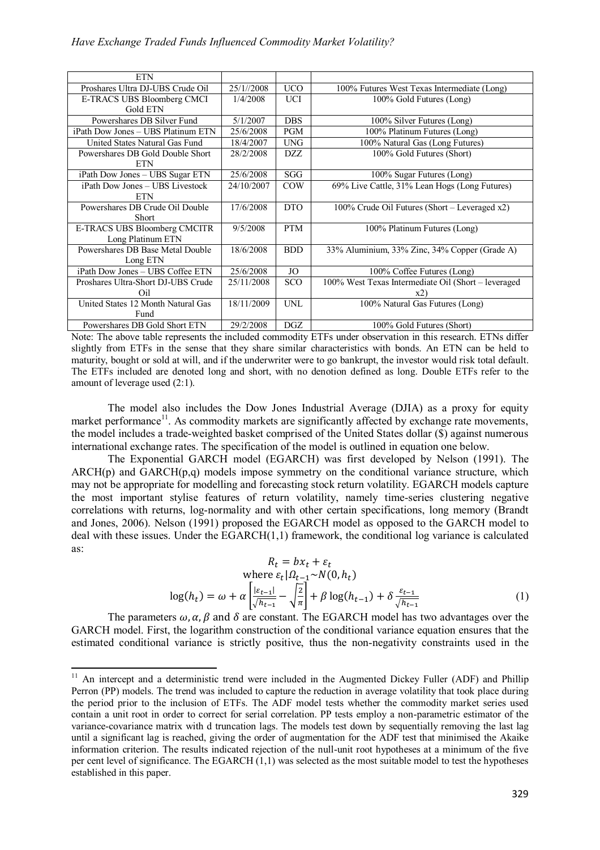| <b>ETN</b>                         |            |            |                                                     |
|------------------------------------|------------|------------|-----------------------------------------------------|
| Proshares Ultra DJ-UBS Crude Oil   | 25/1//2008 | <b>UCO</b> | 100% Futures West Texas Intermediate (Long)         |
| E-TRACS UBS Bloomberg CMCI         | 1/4/2008   | <b>UCI</b> | 100% Gold Futures (Long)                            |
| Gold ETN                           |            |            |                                                     |
| Powershares DB Silver Fund         | 5/1/2007   | <b>DBS</b> | 100% Silver Futures (Long)                          |
| iPath Dow Jones - UBS Platinum ETN | 25/6/2008  | <b>PGM</b> | 100% Platinum Futures (Long)                        |
| United States Natural Gas Fund     | 18/4/2007  | <b>UNG</b> | 100% Natural Gas (Long Futures)                     |
| Powershares DB Gold Double Short   | 28/2/2008  | DZZ        | 100% Gold Futures (Short)                           |
| <b>ETN</b>                         |            |            |                                                     |
| iPath Dow Jones - UBS Sugar ETN    | 25/6/2008  | SGG        | 100% Sugar Futures (Long)                           |
| iPath Dow Jones - UBS Livestock    | 24/10/2007 | <b>COW</b> | 69% Live Cattle, 31% Lean Hogs (Long Futures)       |
| <b>ETN</b>                         |            |            |                                                     |
| Powershares DB Crude Oil Double    | 17/6/2008  | <b>DTO</b> | 100% Crude Oil Futures (Short – Leveraged x2)       |
| <b>Short</b>                       |            |            |                                                     |
| E-TRACS UBS Bloomberg CMCITR       | 9/5/2008   | <b>PTM</b> | 100% Platinum Futures (Long)                        |
| Long Platinum ETN                  |            |            |                                                     |
| Powershares DB Base Metal Double   | 18/6/2008  | <b>BDD</b> | 33% Aluminium, 33% Zinc, 34% Copper (Grade A)       |
| Long ETN                           |            |            |                                                     |
| iPath Dow Jones - UBS Coffee ETN   | 25/6/2008  | JO         | 100% Coffee Futures (Long)                          |
| Proshares Ultra-Short DJ-UBS Crude | 25/11/2008 | <b>SCO</b> | 100% West Texas Intermediate Oil (Short – leveraged |
| Oil                                |            |            | x2)                                                 |
| United States 12 Month Natural Gas | 18/11/2009 | <b>UNL</b> | 100% Natural Gas Futures (Long)                     |
| Fund                               |            |            |                                                     |
| Powershares DB Gold Short ETN      | 29/2/2008  | DGZ        | 100% Gold Futures (Short)                           |

Note: The above table represents the included commodity ETFs under observation in this research. ETNs differ slightly from ETFs in the sense that they share similar characteristics with bonds. An ETN can be held to maturity, bought or sold at will, and if the underwriter were to go bankrupt, the investor would risk total default. The ETFs included are denoted long and short, with no denotion defined as long. Double ETFs refer to the amount of leverage used (2:1).

The model also includes the Dow Jones Industrial Average (DJIA) as a proxy for equity market performance<sup>11</sup>. As commodity markets are significantly affected by exchange rate movements, the model includes a trade-weighted basket comprised of the United States dollar (\$) against numerous international exchange rates. The specification of the model is outlined in equation one below.

The Exponential GARCH model (EGARCH) was first developed by Nelson (1991). The  $ARCH(p)$  and  $GARCH(p,q)$  models impose symmetry on the conditional variance structure, which may not be appropriate for modelling and forecasting stock return volatility. EGARCH models capture the most important stylise features of return volatility, namely time-series clustering negative correlations with returns, log-normality and with other certain specifications, long memory (Brandt and Jones, 2006). Nelson (1991) proposed the EGARCH model as opposed to the GARCH model to deal with these issues. Under the EGARCH(1,1) framework, the conditional log variance is calculated as:

$$
R_t = bx_t + \varepsilon_t
$$
  
where  $\varepsilon_t |\Omega_{t-1} \sim N(0, h_t)$   

$$
\log(h_t) = \omega + \alpha \left[ \frac{|\varepsilon_{t-1}|}{\sqrt{h_{t-1}}} - \sqrt{\frac{2}{\pi}} \right] + \beta \log(h_{t-1}) + \delta \frac{\varepsilon_{t-1}}{\sqrt{h_{t-1}}} \tag{1}
$$

The parameters  $\omega$ ,  $\alpha$ ,  $\beta$  and  $\delta$  are constant. The EGARCH model has two advantages over the GARCH model. First, the logarithm construction of the conditional variance equation ensures that the estimated conditional variance is strictly positive, thus the non-negativity constraints used in the

 $\overline{a}$ 

 $11$  An intercept and a deterministic trend were included in the Augmented Dickey Fuller (ADF) and Phillip Perron (PP) models. The trend was included to capture the reduction in average volatility that took place during the period prior to the inclusion of ETFs. The ADF model tests whether the commodity market series used contain a unit root in order to correct for serial correlation. PP tests employ a non-parametric estimator of the variance-covariance matrix with d truncation lags. The models test down by sequentially removing the last lag until a significant lag is reached, giving the order of augmentation for the ADF test that minimised the Akaike information criterion. The results indicated rejection of the null-unit root hypotheses at a minimum of the five per cent level of significance. The EGARCH (1,1) was selected as the most suitable model to test the hypotheses established in this paper.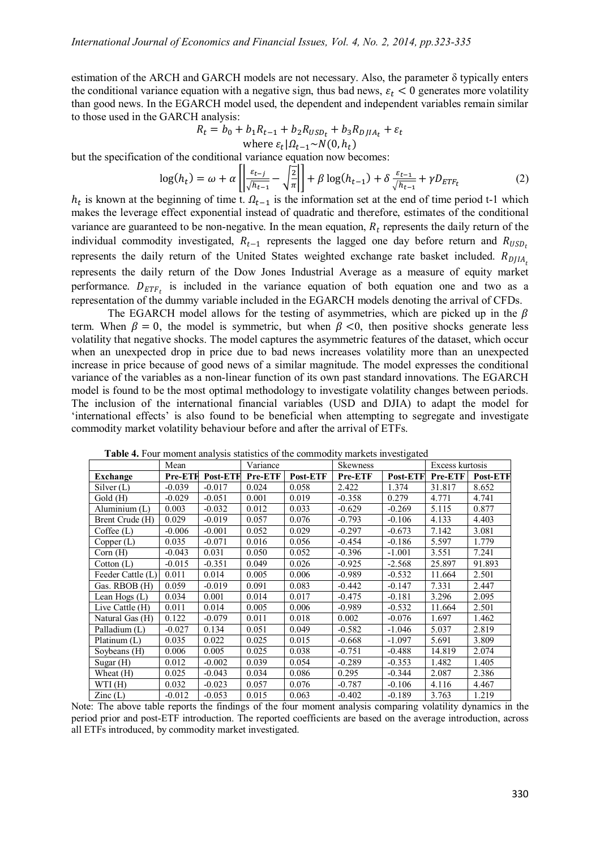estimation of the ARCH and GARCH models are not necessary. Also, the parameter δ typically enters the conditional variance equation with a negative sign, thus bad news,  $\varepsilon_t$  < 0 generates more volatility than good news. In the EGARCH model used, the dependent and independent variables remain similar to those used in the GARCH analysis:

$$
R_{t} = b_{0} + b_{1}R_{t-1} + b_{2}R_{USD_{t}} + b_{3}R_{DJIA_{t}} + \varepsilon_{t}
$$
  
where  $\varepsilon_{t} | \Omega_{t-1} \sim N(0, h_{t})$ 

but the specification of the conditional variance equation now becomes:

$$
\log(h_t) = \omega + \alpha \left[ \left| \frac{\varepsilon_{t-j}}{\sqrt{h_{t-1}}} - \sqrt{\frac{2}{\pi}} \right| \right] + \beta \log(h_{t-1}) + \delta \frac{\varepsilon_{t-1}}{\sqrt{h_{t-1}}} + \gamma D_{ETF_t} \tag{2}
$$

 $h_t$  is known at the beginning of time t.  $\Omega_{t-1}$  is the information set at the end of time period t-1 which makes the leverage effect exponential instead of quadratic and therefore, estimates of the conditional variance are guaranteed to be non-negative. In the mean equation,  $R_t$  represents the daily return of the individual commodity investigated,  $R_{t-1}$  represents the lagged one day before return and  $R_{USD_t}$ represents the daily return of the United States weighted exchange rate basket included.  $R_{DIIA}$ represents the daily return of the Dow Jones Industrial Average as a measure of equity market performance.  $D_{ETF_t}$  is included in the variance equation of both equation one and two as a representation of the dummy variable included in the EGARCH models denoting the arrival of CFDs.

The EGARCH model allows for the testing of asymmetries, which are picked up in the  $\beta$ term. When  $\beta = 0$ , the model is symmetric, but when  $\beta < 0$ , then positive shocks generate less volatility that negative shocks. The model captures the asymmetric features of the dataset, which occur when an unexpected drop in price due to bad news increases volatility more than an unexpected increase in price because of good news of a similar magnitude. The model expresses the conditional variance of the variables as a non-linear function of its own past standard innovations. The EGARCH model is found to be the most optimal methodology to investigate volatility changes between periods. The inclusion of the international financial variables (USD and DJIA) to adapt the model for 'international effects' is also found to be beneficial when attempting to segregate and investigate commodity market volatility behaviour before and after the arrival of ETFs.

|                   | Mean           |                 | Variance |          | <b>Skewness</b> |                 | Excess kurtosis |          |
|-------------------|----------------|-----------------|----------|----------|-----------------|-----------------|-----------------|----------|
| Exchange          | <b>Pre-ETF</b> | <b>Post-ETF</b> | Pre-ETF  | Post-ETF | Pre-ETF         | <b>Post-ETF</b> | Pre-ETF         | Post-ETF |
| Silver(L)         | $-0.039$       | $-0.017$        | 0.024    | 0.058    | 2.422           | 1.374           | 31.817          | 8.652    |
| Gold (H)          | $-0.029$       | $-0.051$        | 0.001    | 0.019    | $-0.358$        | 0.279           | 4.771           | 4.741    |
| Aluminium (L)     | 0.003          | $-0.032$        | 0.012    | 0.033    | $-0.629$        | $-0.269$        | 5.115           | 0.877    |
| Brent Crude (H)   | 0.029          | $-0.019$        | 0.057    | 0.076    | $-0.793$        | $-0.106$        | 4.133           | 4.403    |
| Coffee(L)         | $-0.006$       | $-0.001$        | 0.052    | 0.029    | $-0.297$        | $-0.673$        | 7.142           | 3.081    |
| Copper (L)        | 0.035          | $-0.071$        | 0.016    | 0.056    | $-0.454$        | $-0.186$        | 5.597           | 1.779    |
| Corn(H)           | $-0.043$       | 0.031           | 0.050    | 0.052    | $-0.396$        | $-1.001$        | 3.551           | 7.241    |
| Cotton(L)         | $-0.015$       | $-0.351$        | 0.049    | 0.026    | $-0.925$        | $-2.568$        | 25.897          | 91.893   |
| Feeder Cattle (L) | 0.011          | 0.014           | 0.005    | 0.006    | $-0.989$        | $-0.532$        | 11.664          | 2.501    |
| Gas. RBOB (H)     | 0.059          | $-0.019$        | 0.091    | 0.083    | $-0.442$        | $-0.147$        | 7.331           | 2.447    |
| Lean Hogs (L)     | 0.034          | 0.001           | 0.014    | 0.017    | $-0.475$        | $-0.181$        | 3.296           | 2.095    |
| Live Cattle (H)   | 0.011          | 0.014           | 0.005    | 0.006    | $-0.989$        | $-0.532$        | 11.664          | 2.501    |
| Natural Gas (H)   | 0.122          | $-0.079$        | 0.011    | 0.018    | 0.002           | $-0.076$        | 1.697           | 1.462    |
| Palladium (L)     | $-0.027$       | 0.134           | 0.051    | 0.049    | $-0.582$        | $-1.046$        | 5.037           | 2.819    |
| Platinum $(L)$    | 0.035          | 0.022           | 0.025    | 0.015    | $-0.668$        | $-1.097$        | 5.691           | 3.809    |
| Soybeans (H)      | 0.006          | 0.005           | 0.025    | 0.038    | $-0.751$        | $-0.488$        | 14.819          | 2.074    |
| Sugar (H)         | 0.012          | $-0.002$        | 0.039    | 0.054    | $-0.289$        | $-0.353$        | 1.482           | 1.405    |
| Wheat (H)         | 0.025          | $-0.043$        | 0.034    | 0.086    | 0.295           | $-0.344$        | 2.087           | 2.386    |
| WTI(H)            | 0.032          | $-0.023$        | 0.057    | 0.076    | $-0.787$        | $-0.106$        | 4.116           | 4.467    |
| $\text{Zinc}$ (L) | $-0.012$       | $-0.053$        | 0.015    | 0.063    | $-0.402$        | $-0.189$        | 3.763           | 1.219    |

 **Table 4.** Four moment analysis statistics of the commodity markets investigated

Note: The above table reports the findings of the four moment analysis comparing volatility dynamics in the period prior and post-ETF introduction. The reported coefficients are based on the average introduction, across all ETFs introduced, by commodity market investigated.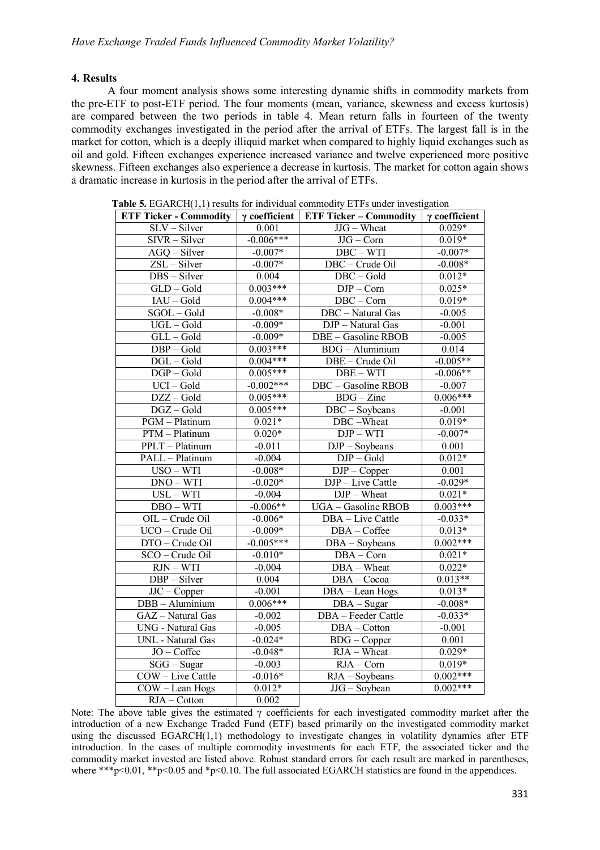# **4. Results**

A four moment analysis shows some interesting dynamic shifts in commodity markets from the pre-ETF to post-ETF period. The four moments (mean, variance, skewness and excess kurtosis) are compared between the two periods in table 4. Mean return falls in fourteen of the twenty commodity exchanges investigated in the period after the arrival of ETFs. The largest fall is in the market for cotton, which is a deeply illiquid market when compared to highly liquid exchanges such as oil and gold. Fifteen exchanges experience increased variance and twelve experienced more positive skewness. Fifteen exchanges also experience a decrease in kurtosis. The market for cotton again shows a dramatic increase in kurtosis in the period after the arrival of ETFs.

| <b>ETF Ticker - Commodity</b>                                       | $\gamma$ coefficient | <b>ETF Ticker - Commodity</b> | $\gamma$ coefficient |
|---------------------------------------------------------------------|----------------------|-------------------------------|----------------------|
| SLV - Silver                                                        | 0.001                | JJG - Wheat                   | $0.029*$             |
| SIVR - Silver                                                       | $-0.006***$          | $JJG - Corn$                  | $0.019*$             |
| AGQ - Silver                                                        | $-0.007*$            | $DBC - WTI$                   | $-0.007*$            |
| ZSL - Silver                                                        | $-0.007*$            | DBC - Crude Oil               | $-0.008*$            |
| DBS - Silver                                                        | 0.004                | DBC-Gold                      | $0.012*$             |
| GLD-Gold                                                            | $0.003***$           | $DJP - Corn$                  | $0.025*$             |
| $IAU - Gold$                                                        | $0.004***$           | $DBC - Corn$                  | $0.019*$             |
| SGOL-Gold                                                           | $-0.008*$            | DBC - Natural Gas             | $-0.005$             |
| UGL-Gold                                                            | $-0.009*$            | DJP - Natural Gas             | $-0.001$             |
| GLL-Gold                                                            | $-0.009*$            | DBE - Gasoline RBOB           | $-0.005$             |
| $DBP - Gold$                                                        | $0.003***$           | $BDG - Aluminium$             | 0.014                |
| $DGL-Gold$                                                          | $0.004***$           | DBE - Crude Oil               | $-0.005**$           |
| $DGP - Gold$                                                        | $0.005***$           | $DBE - WTI$                   | $-0.006**$           |
| $UCI - Gold$                                                        | $-0.002***$          | DBC - Gasoline RBOB           | $-0.007$             |
| $\overline{\text{DZZ}-\text{Gold}}$                                 | $0.005***$           | $BDG - Zinc$                  | $0.006***$           |
| DGZ-Gold                                                            | $0.005***$           | DBC - Soybeans                | $-0.001$             |
| PGM - Platinum                                                      | $0.021*$             | DBC-Wheat                     | $0.019*$             |
| $PTM - Platinum$                                                    | $0.020*$             | $DJP-WTI$                     | $-0.007*$            |
| PPLT - Platinum                                                     | $-0.011$             | $DJP - Soybeans$              | 0.001                |
| PALL - Platinum                                                     | $-0.004$             | $DJP - Gold$                  | $0.012*$             |
| $USO - WTI$                                                         | $-0.008*$            | $\overline{D}$ JP – Copper    | 0.001                |
| $DNO-WTI$                                                           | $-0.020*$            | DJP - Live Cattle             | $-0.029*$            |
| $\ensuremath{\mathsf{USL}}\xspace-\ensuremath{\mathsf{WTI}}\xspace$ | $-0.004$             | DJP - Wheat                   | $0.021*$             |
| $DBO - WTI$                                                         | $-0.006**$           | UGA - Gasoline RBOB           | $0.003***$           |
| OIL - Crude Oil                                                     | $-0.006*$            | DBA - Live Cattle             | $-0.033*$            |
| UCO - Crude Oil                                                     | $-0.009*$            | DBA - Coffee                  | $0.013*$             |
| DTO - Crude Oil                                                     | $-0.005***$          | DBA - Soybeans                | $0.002***$           |
| SCO - Crude Oil                                                     | $-0.010*$            | DBA - Corn                    | $0.021*$             |
| $RJN - WTI$                                                         | $-0.004$             | DBA - Wheat                   | $0.022*$             |
| $DBP - Silver$                                                      | 0.004                | DBA - Cocoa                   | $0.013**$            |
| $\overline{JC}$ – Copper                                            | $-0.001$             | DBA - Lean Hogs               | $0.013*$             |
| DBB - Aluminium                                                     | $0.006***$           | DBA - Sugar                   | $-0.008*$            |
| GAZ - Natural Gas                                                   | $-0.002$             | DBA - Feeder Cattle           | $-0.033*$            |
| UNG - Natural Gas                                                   | $-0.005$             | DBA - Cotton                  | $-0.001$             |
| <b>UNL</b> - Natural Gas                                            | $-0.024*$            | $\overline{B}DG$ – Copper     | 0.001                |
| JO - Coffee                                                         | $-0.048*$            | $RJA - Wheat$                 | $0.029*$             |
| $SGG - Sugar$                                                       | $-0.003$             | $RJA - Corn$                  | $0.019*$             |
| COW - Live Cattle                                                   | $-0.016*$            | RJA - Soybeans                | $0.002***$           |
| COW - Lean Hogs                                                     | $0.012*$             | JJG - Soybean                 | $0.002***$           |
| RJA - Cotton                                                        | 0.002                |                               |                      |

**Table 5.** EGARCH(1,1) results for individual commodity ETFs under investigation

Note: The above table gives the estimated  $\gamma$  coefficients for each investigated commodity market after the introduction of a new Exchange Traded Fund (ETF) based primarily on the investigated commodity market using the discussed EGARCH(1,1) methodology to investigate changes in volatility dynamics after ETF introduction. In the cases of multiple commodity investments for each ETF, the associated ticker and the commodity market invested are listed above. Robust standard errors for each result are marked in parentheses, where \*\*\*p $\leq 0.01$ , \*\*p $\leq 0.05$  and \*p $\leq 0.10$ . The full associated EGARCH statistics are found in the appendices.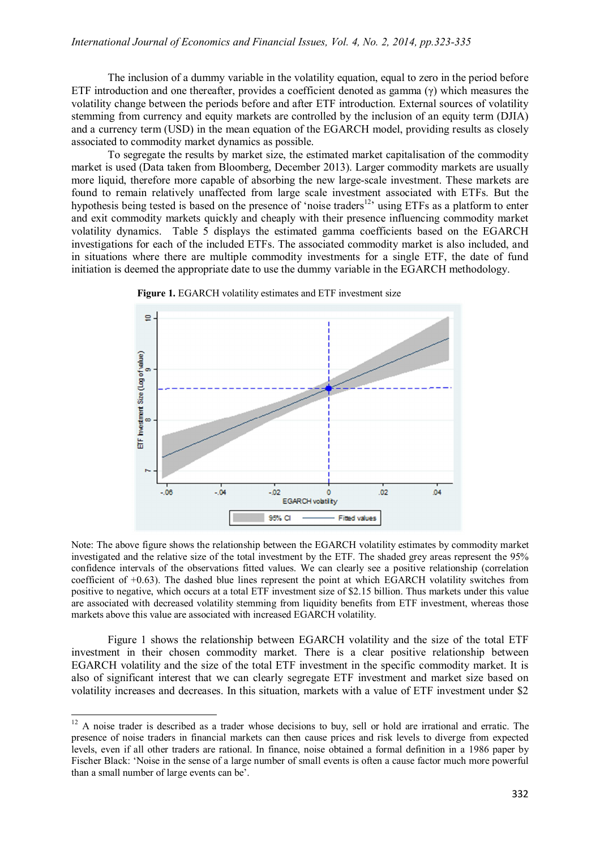The inclusion of a dummy variable in the volatility equation, equal to zero in the period before ETF introduction and one thereafter, provides a coefficient denoted as gamma  $(\gamma)$  which measures the volatility change between the periods before and after ETF introduction. External sources of volatility stemming from currency and equity markets are controlled by the inclusion of an equity term (DJIA) and a currency term (USD) in the mean equation of the EGARCH model, providing results as closely associated to commodity market dynamics as possible.

To segregate the results by market size, the estimated market capitalisation of the commodity market is used (Data taken from Bloomberg, December 2013). Larger commodity markets are usually more liquid, therefore more capable of absorbing the new large-scale investment. These markets are found to remain relatively unaffected from large scale investment associated with ETFs. But the hypothesis being tested is based on the presence of 'noise traders<sup>12</sup>' using ETFs as a platform to enter and exit commodity markets quickly and cheaply with their presence influencing commodity market volatility dynamics. Table 5 displays the estimated gamma coefficients based on the EGARCH investigations for each of the included ETFs. The associated commodity market is also included, and in situations where there are multiple commodity investments for a single ETF, the date of fund initiation is deemed the appropriate date to use the dummy variable in the EGARCH methodology.



**Figure 1.** EGARCH volatility estimates and ETF investment size

Note: The above figure shows the relationship between the EGARCH volatility estimates by commodity market investigated and the relative size of the total investment by the ETF. The shaded grey areas represent the 95% confidence intervals of the observations fitted values. We can clearly see a positive relationship (correlation coefficient of +0.63). The dashed blue lines represent the point at which EGARCH volatility switches from positive to negative, which occurs at a total ETF investment size of \$2.15 billion. Thus markets under this value are associated with decreased volatility stemming from liquidity benefits from ETF investment, whereas those markets above this value are associated with increased EGARCH volatility.

Figure 1 shows the relationship between EGARCH volatility and the size of the total ETF investment in their chosen commodity market. There is a clear positive relationship between EGARCH volatility and the size of the total ETF investment in the specific commodity market. It is also of significant interest that we can clearly segregate ETF investment and market size based on volatility increases and decreases. In this situation, markets with a value of ETF investment under \$2

1

 $12$  A noise trader is described as a trader whose decisions to buy, sell or hold are irrational and erratic. The presence of noise traders in financial markets can then cause prices and risk levels to diverge from expected levels, even if all other traders are rational. In finance, noise obtained a formal definition in a 1986 paper by Fischer Black: 'Noise in the sense of a large number of small events is often a cause factor much more powerful than a small number of large events can be'.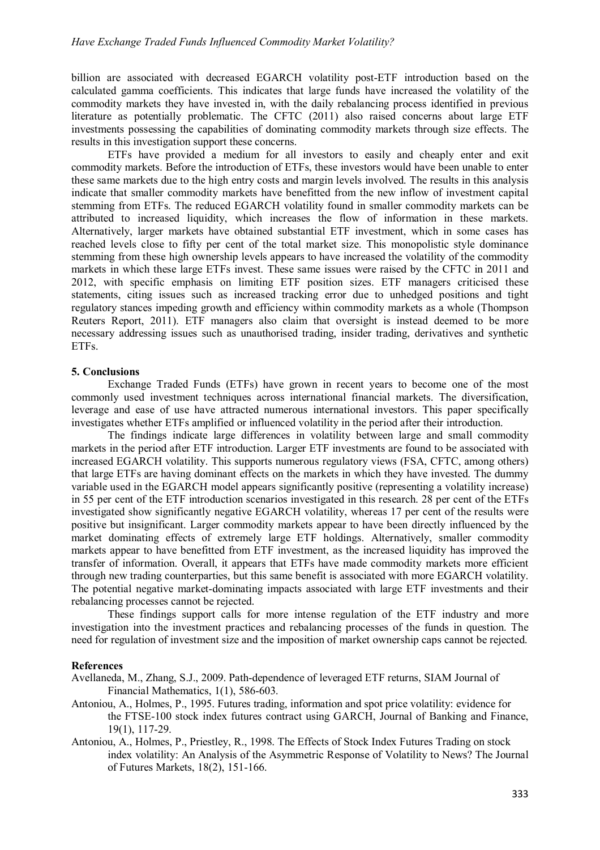billion are associated with decreased EGARCH volatility post-ETF introduction based on the calculated gamma coefficients. This indicates that large funds have increased the volatility of the commodity markets they have invested in, with the daily rebalancing process identified in previous literature as potentially problematic. The CFTC (2011) also raised concerns about large ETF investments possessing the capabilities of dominating commodity markets through size effects. The results in this investigation support these concerns.

ETFs have provided a medium for all investors to easily and cheaply enter and exit commodity markets. Before the introduction of ETFs, these investors would have been unable to enter these same markets due to the high entry costs and margin levels involved. The results in this analysis indicate that smaller commodity markets have benefitted from the new inflow of investment capital stemming from ETFs. The reduced EGARCH volatility found in smaller commodity markets can be attributed to increased liquidity, which increases the flow of information in these markets. Alternatively, larger markets have obtained substantial ETF investment, which in some cases has reached levels close to fifty per cent of the total market size. This monopolistic style dominance stemming from these high ownership levels appears to have increased the volatility of the commodity markets in which these large ETFs invest. These same issues were raised by the CFTC in 2011 and 2012, with specific emphasis on limiting ETF position sizes. ETF managers criticised these statements, citing issues such as increased tracking error due to unhedged positions and tight regulatory stances impeding growth and efficiency within commodity markets as a whole (Thompson Reuters Report, 2011). ETF managers also claim that oversight is instead deemed to be more necessary addressing issues such as unauthorised trading, insider trading, derivatives and synthetic ETFs.

## **5. Conclusions**

Exchange Traded Funds (ETFs) have grown in recent years to become one of the most commonly used investment techniques across international financial markets. The diversification, leverage and ease of use have attracted numerous international investors. This paper specifically investigates whether ETFs amplified or influenced volatility in the period after their introduction.

The findings indicate large differences in volatility between large and small commodity markets in the period after ETF introduction. Larger ETF investments are found to be associated with increased EGARCH volatility. This supports numerous regulatory views (FSA, CFTC, among others) that large ETFs are having dominant effects on the markets in which they have invested. The dummy variable used in the EGARCH model appears significantly positive (representing a volatility increase) in 55 per cent of the ETF introduction scenarios investigated in this research. 28 per cent of the ETFs investigated show significantly negative EGARCH volatility, whereas 17 per cent of the results were positive but insignificant. Larger commodity markets appear to have been directly influenced by the market dominating effects of extremely large ETF holdings. Alternatively, smaller commodity markets appear to have benefitted from ETF investment, as the increased liquidity has improved the transfer of information. Overall, it appears that ETFs have made commodity markets more efficient through new trading counterparties, but this same benefit is associated with more EGARCH volatility. The potential negative market-dominating impacts associated with large ETF investments and their rebalancing processes cannot be rejected.

These findings support calls for more intense regulation of the ETF industry and more investigation into the investment practices and rebalancing processes of the funds in question. The need for regulation of investment size and the imposition of market ownership caps cannot be rejected.

#### **References**

Avellaneda, M., Zhang, S.J., 2009. Path-dependence of leveraged ETF returns, SIAM Journal of Financial Mathematics, 1(1), 586-603.

- Antoniou, A., Holmes, P., 1995. Futures trading, information and spot price volatility: evidence for the FTSE-100 stock index futures contract using GARCH, Journal of Banking and Finance, 19(1), 117-29.
- Antoniou, A., Holmes, P., Priestley, R., 1998. The Effects of Stock Index Futures Trading on stock index volatility: An Analysis of the Asymmetric Response of Volatility to News? The Journal of Futures Markets, 18(2), 151-166.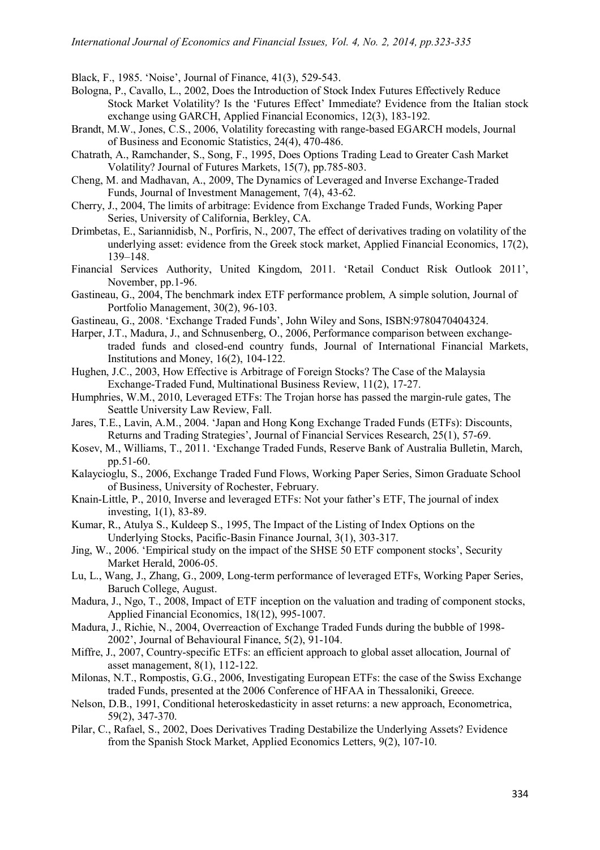Black, F., 1985. 'Noise', Journal of Finance, 41(3), 529-543.

- Bologna, P., Cavallo, L., 2002, Does the Introduction of Stock Index Futures Effectively Reduce Stock Market Volatility? Is the 'Futures Effect' Immediate? Evidence from the Italian stock exchange using GARCH, Applied Financial Economics, 12(3), 183-192.
- Brandt, M.W., Jones, C.S., 2006, Volatility forecasting with range-based EGARCH models, Journal of Business and Economic Statistics, 24(4), 470-486.
- Chatrath, A., Ramchander, S., Song, F., 1995, Does Options Trading Lead to Greater Cash Market Volatility? Journal of Futures Markets, 15(7), pp.785-803.
- Cheng, M. and Madhavan, A., 2009, The Dynamics of Leveraged and Inverse Exchange-Traded Funds, Journal of Investment Management, 7(4), 43-62.
- Cherry, J., 2004, The limits of arbitrage: Evidence from Exchange Traded Funds, Working Paper Series, University of California, Berkley, CA.
- Drimbetas, E., Sariannidisb, N., Porfiris, N., 2007, The effect of derivatives trading on volatility of the underlying asset: evidence from the Greek stock market, Applied Financial Economics, 17(2), 139–148.
- Financial Services Authority, United Kingdom, 2011. 'Retail Conduct Risk Outlook 2011', November, pp.1-96.
- Gastineau, G., 2004, The benchmark index ETF performance problem, A simple solution, Journal of Portfolio Management, 30(2), 96-103.
- Gastineau, G., 2008. 'Exchange Traded Funds', John Wiley and Sons, ISBN:9780470404324.
- Harper, J.T., Madura, J., and Schnusenberg, O., 2006, Performance comparison between exchangetraded funds and closed-end country funds, Journal of International Financial Markets, Institutions and Money, 16(2), 104-122.
- Hughen, J.C., 2003, How Effective is Arbitrage of Foreign Stocks? The Case of the Malaysia Exchange-Traded Fund, Multinational Business Review, 11(2), 17-27.
- Humphries, W.M., 2010, Leveraged ETFs: The Trojan horse has passed the margin-rule gates, The Seattle University Law Review, Fall.
- Jares, T.E., Lavin, A.M., 2004. 'Japan and Hong Kong Exchange Traded Funds (ETFs): Discounts, Returns and Trading Strategies', Journal of Financial Services Research, 25(1), 57-69.
- Kosev, M., Williams, T., 2011. 'Exchange Traded Funds, Reserve Bank of Australia Bulletin, March, pp.51-60.
- Kalaycioglu, S., 2006, Exchange Traded Fund Flows, Working Paper Series, Simon Graduate School of Business, University of Rochester, February.
- Knain-Little, P., 2010, Inverse and leveraged ETFs: Not your father's ETF, The journal of index investing, 1(1), 83-89.
- Kumar, R., Atulya S., Kuldeep S., 1995, The Impact of the Listing of Index Options on the Underlying Stocks, Pacific-Basin Finance Journal, 3(1), 303-317.
- Jing, W., 2006. 'Empirical study on the impact of the SHSE 50 ETF component stocks', Security Market Herald, 2006-05.
- Lu, L., Wang, J., Zhang, G., 2009, Long-term performance of leveraged ETFs, Working Paper Series, Baruch College, August.
- Madura, J., Ngo, T., 2008, Impact of ETF inception on the valuation and trading of component stocks, Applied Financial Economics, 18(12), 995-1007.
- Madura, J., Richie, N., 2004, Overreaction of Exchange Traded Funds during the bubble of 1998- 2002', Journal of Behavioural Finance, 5(2), 91-104.
- Miffre, J., 2007, Country-specific ETFs: an efficient approach to global asset allocation, Journal of asset management, 8(1), 112-122.
- Milonas, N.T., Rompostis, G.G., 2006, Investigating European ETFs: the case of the Swiss Exchange traded Funds, presented at the 2006 Conference of HFAA in Thessaloniki, Greece.
- Nelson, D.B., 1991, Conditional heteroskedasticity in asset returns: a new approach, Econometrica, 59(2), 347-370.
- Pilar, C., Rafael, S., 2002, Does Derivatives Trading Destabilize the Underlying Assets? Evidence from the Spanish Stock Market, Applied Economics Letters, 9(2), 107-10.